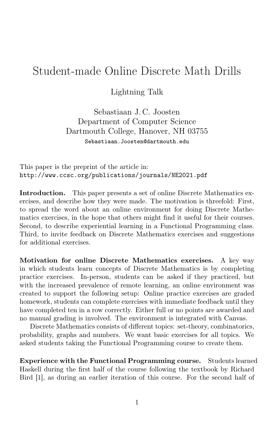## Student-made Online Discrete Math Drills

Lightning Talk

Sebastiaan J. C. Joosten Department of Computer Science Dartmouth College, Hanover, NH 03755 Sebastiaan.Joosten@dartmouth.edu

This paper is the preprint of the article in: http://www.ccsc.org/publications/journals/NE2021.pdf

Introduction. This paper presents a set of online Discrete Mathematics exercises, and describe how they were made. The motivation is threefold: First, to spread the word about an online environment for doing Discrete Mathematics exercises, in the hope that others might find it useful for their courses. Second, to describe experiential learning in a Functional Programming class. Third, to invite feedback on Discrete Mathematics exercises and suggestions for additional exercises.

Motivation for online Discrete Mathematics exercises. A key way in which students learn concepts of Discrete Mathematics is by completing practice exercises. In-person, students can be asked if they practiced, but with the increased prevalence of remote learning, an online environment was created to support the following setup: Online practice exercises are graded homework, students can complete exercises with immediate feedback until they have completed ten in a row correctly. Either full or no points are awarded and no manual grading is involved. The environment is integrated with Canvas.

Discrete Mathematics consists of different topics: set-theory, combinatorics, probability, graphs and numbers. We want basic exercises for all topics. We asked students taking the Functional Programming course to create them.

Experience with the Functional Programming course. Students learned Haskell during the first half of the course following the textbook by Richard Bird [1], as during an earlier iteration of this course. For the second half of